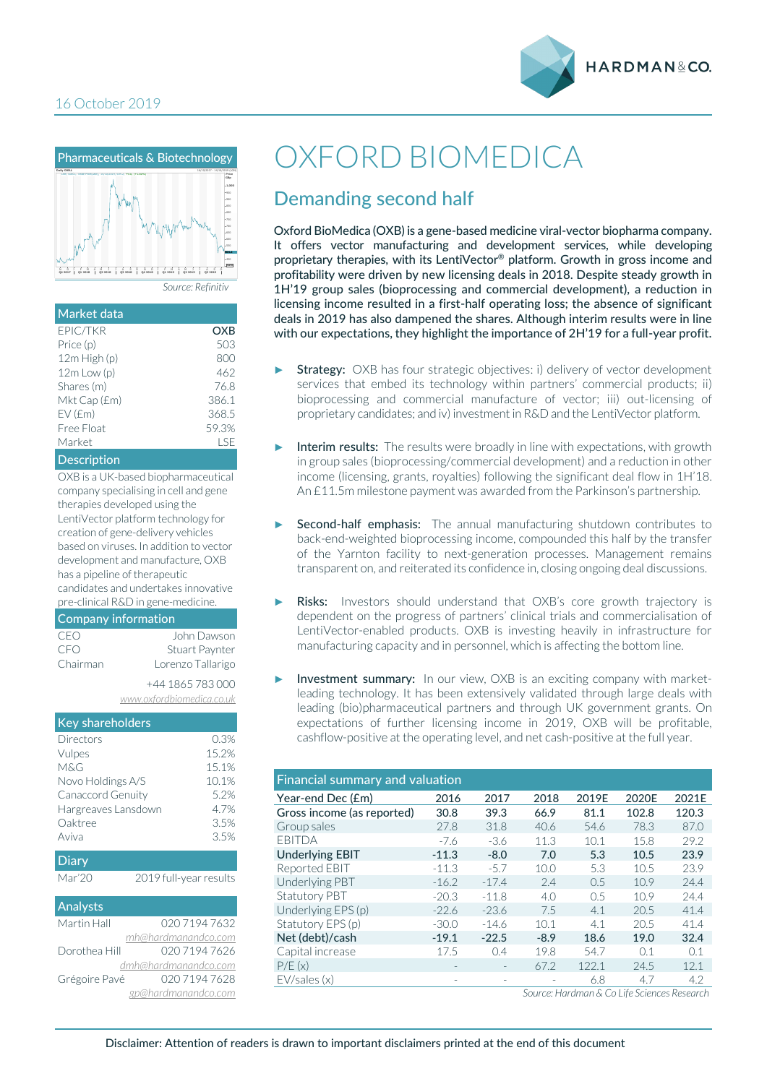



| Market data        |       |
|--------------------|-------|
| EPIC/TKR           | OXB   |
| Price (p)          | 503   |
| 12m High (p)       | 800   |
| $12m$ Low $(p)$    | 462   |
| Shares (m)         | 76.8  |
| Mkt Cap (£m)       | 386.1 |
| EV(Em)             | 368.5 |
| Free Float         | 59.3% |
| Market             | I SF  |
| <b>Description</b> |       |

OXB is a UK-based biopharmaceutical company specialising in cell and gene therapies developed using the LentiVector platform technology for creation of gene-delivery vehicles based on viruses. In addition to vector development and manufacture, OXB has a pipeline of therapeutic candidates and undertakes innovative

pre-clinical R&D in gene-medicine.

#### Company information CEO John Dawson CFO Stuart Paynter Chairman Lorenzo Tallarigo +44 1865 783 000

*www.oxfordbiomedica.co.uk*

| <b>Key shareholders</b> |                        |
|-------------------------|------------------------|
| Directors               | 0.3%                   |
| Vulpes                  | 15.2%                  |
| M&G                     | 15.1%                  |
| Novo Holdings A/S       | 10.1%                  |
| Canaccord Genuity       | 5.2%                   |
| Hargreaves Lansdown     | 4.7%                   |
| Oaktree                 | 3.5%                   |
| Aviva                   | 3.5%                   |
| <b>Diary</b>            |                        |
| Mar'20                  | 2019 full-year results |
| Analysts                |                        |
| Martin Hall             | 02071947632            |
|                         | mh@hardmanandco.com    |
| Dorothea Hill           | 020 7194 7626          |
|                         | dmh@hardmanandco.com   |
| Grégoire Pavé           | 020 7194 7628          |
|                         | gp@hardmanandco.com    |

# OXFORD BIOMEDICA

## Demanding second half

Oxford BioMedica (OXB) is a gene-based medicine viral-vector biopharma company. It offers vector manufacturing and development services, while developing proprietary therapies, with its LentiVector® platform. Growth in gross income and profitability were driven by new licensing deals in 2018. Despite steady growth in 1H'19 group sales (bioprocessing and commercial development), a reduction in licensing income resulted in a first-half operating loss; the absence of significant deals in 2019 has also dampened the shares. Although interim results were in line with our expectations, they highlight the importance of 2H'19 for a full-year profit.

- Strategy: OXB has four strategic objectives: i) delivery of vector development services that embed its technology within partners' commercial products; ii) bioprocessing and commercial manufacture of vector; iii) out-licensing of proprietary candidates; and iv) investment in R&D and the LentiVector platform.
- Interim results: The results were broadly in line with expectations, with growth in group sales (bioprocessing/commercial development) and a reduction in other income (licensing, grants, royalties) following the significant deal flow in 1H'18. An £11.5m milestone payment was awarded from the Parkinson's partnership.
- Second-half emphasis: The annual manufacturing shutdown contributes to back-end-weighted bioprocessing income, compounded this half by the transfer of the Yarnton facility to next-generation processes. Management remains transparent on, and reiterated its confidence in, closing ongoing deal discussions.
- Risks: Investors should understand that OXB's core growth trajectory is dependent on the progress of partners' clinical trials and commercialisation of LentiVector-enabled products. OXB is investing heavily in infrastructure for manufacturing capacity and in personnel, which is affecting the bottom line.
- Investment summary: In our view, OXB is an exciting company with marketleading technology. It has been extensively validated through large deals with leading (bio)pharmaceutical partners and through UK government grants. On expectations of further licensing income in 2019, OXB will be profitable, cashflow-positive at the operating level, and net cash-positive at the full year.

| <b>Financial summary and valuation</b> |         |         |        |       |       |       |  |  |
|----------------------------------------|---------|---------|--------|-------|-------|-------|--|--|
| Year-end Dec (£m)                      | 2016    | 2017    | 2018   | 2019E | 2020E | 2021E |  |  |
| Gross income (as reported)             | 30.8    | 39.3    | 66.9   | 81.1  | 102.8 | 120.3 |  |  |
| Group sales                            | 27.8    | 31.8    | 40.6   | 54.6  | 78.3  | 87.0  |  |  |
| EBITDA                                 | $-7.6$  | $-3.6$  | 11.3   | 10.1  | 15.8  | 29.2  |  |  |
| <b>Underlying EBIT</b>                 | $-11.3$ | $-8.0$  | 7.0    | 5.3   | 10.5  | 23.9  |  |  |
| Reported EBIT                          | $-11.3$ | $-5.7$  | 10.0   | 5.3   | 10.5  | 23.9  |  |  |
| Underlying PBT                         | $-16.2$ | $-17.4$ | 2.4    | 0.5   | 10.9  | 24.4  |  |  |
| <b>Statutory PBT</b>                   | $-20.3$ | $-11.8$ | 4.0    | 0.5   | 10.9  | 24.4  |  |  |
| Underlying EPS (p)                     | $-22.6$ | $-23.6$ | 7.5    | 4.1   | 20.5  | 41.4  |  |  |
| Statutory EPS (p)                      | $-30.0$ | $-14.6$ | 10.1   | 4.1   | 20.5  | 41.4  |  |  |
| Net (debt)/cash                        | $-19.1$ | $-22.5$ | $-8.9$ | 18.6  | 19.0  | 32.4  |  |  |
| Capital increase                       | 17.5    | 0.4     | 19.8   | 54.7  | 0.1   | 0.1   |  |  |
| P/E(x)                                 |         |         | 67.2   | 122.1 | 24.5  | 12.1  |  |  |
| EV/sales(x)                            |         |         |        | 6.8   | 4.7   | 4.2   |  |  |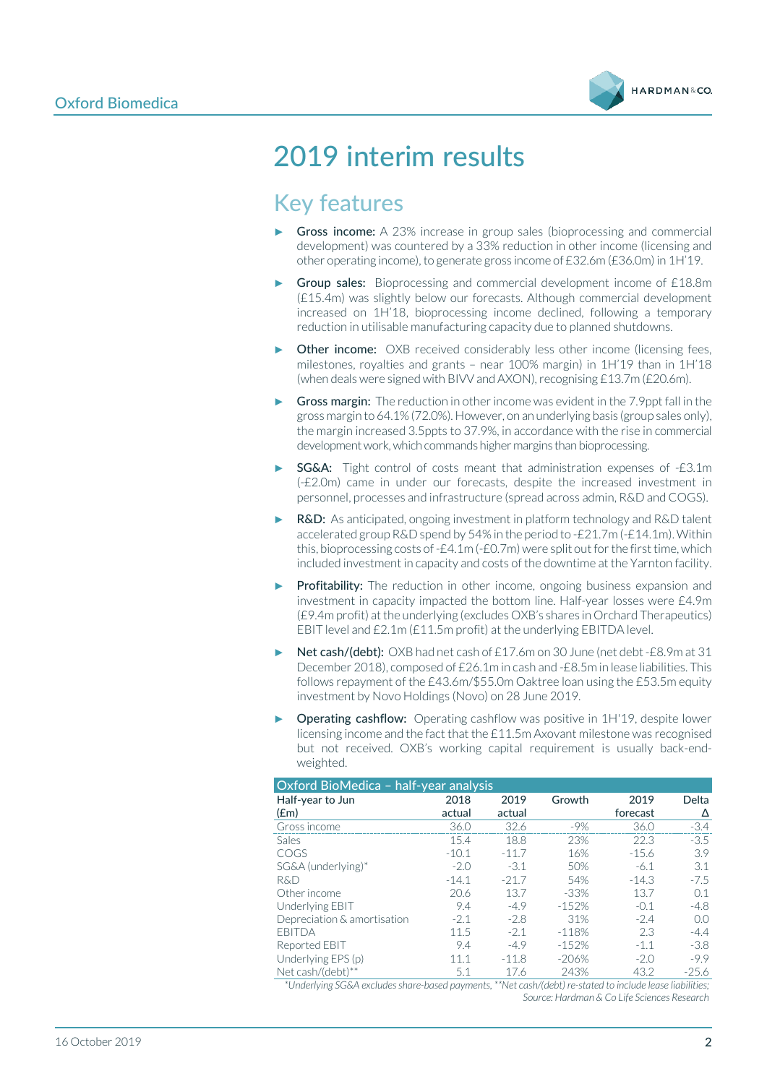

# 2019 interim results

## Key features

- Gross income: A 23% increase in group sales (bioprocessing and commercial development) was countered by a 33% reduction in other income (licensing and other operating income), to generate gross income of £32.6m (£36.0m) in 1H'19.
- Group sales: Bioprocessing and commercial development income of £18.8m (£15.4m) was slightly below our forecasts. Although commercial development increased on 1H'18, bioprocessing income declined, following a temporary reduction in utilisable manufacturing capacity due to planned shutdowns.
- Other income: OXB received considerably less other income (licensing fees, milestones, royalties and grants – near 100% margin) in 1H'19 than in 1H'18 (when deals were signed with BIVV and AXON), recognising £13.7m (£20.6m).
- Gross margin: The reduction in other income was evident in the 7.9 ppt fall in the gross margin to 64.1% (72.0%). However, on an underlying basis (group sales only), the margin increased 3.5ppts to 37.9%, in accordance with the rise in commercial development work, which commands higher margins than bioprocessing.
- SG&A: Tight control of costs meant that administration expenses of -£3.1m (-£2.0m) came in under our forecasts, despite the increased investment in personnel, processes and infrastructure (spread across admin, R&D and COGS).
- **R&D:** As anticipated, ongoing investment in platform technology and R&D talent accelerated group R&D spend by 54% in the period to -£21.7m (-£14.1m). Within this, bioprocessing costs of -£4.1m (-£0.7m) were split out for the first time, which included investment in capacity and costs of the downtime at the Yarnton facility.
- Profitability: The reduction in other income, ongoing business expansion and investment in capacity impacted the bottom line. Half-year losses were £4.9m (£9.4m profit) at the underlying (excludes OXB's shares in Orchard Therapeutics) EBIT level and £2.1m (£11.5m profit) at the underlying EBITDA level.
- Net cash/(debt): OXB had net cash of £17.6m on 30 June (net debt -£8.9m at 31 December 2018), composed of £26.1m in cash and -£8.5m in lease liabilities. This follows repayment of the £43.6m/\$55.0m Oaktree loan using the £53.5m equity investment by Novo Holdings (Novo) on 28 June 2019.
- **Operating cashflow:** Operating cashflow was positive in 1H'19, despite lower licensing income and the fact that the £11.5m Axovant milestone was recognised but not received. OXB's working capital requirement is usually back-endweighted.

| Oxford BioMedica - half-year analysis |         |         |         |          |         |  |  |
|---------------------------------------|---------|---------|---------|----------|---------|--|--|
| Half-year to Jun                      | 2018    | 2019    | Growth  | 2019     | Delta   |  |  |
| $(\text{fm})$                         | actual  | actual  |         | forecast | Δ       |  |  |
| Gross income                          | 36.0    | 32.6    | $-9\%$  | 36.0     | $-3.4$  |  |  |
| <b>Sales</b>                          | 15.4    | 18.8    | 23%     | 22.3     | $-3.5$  |  |  |
| COGS                                  | $-10.1$ | $-11.7$ | 16%     | $-15.6$  | 3.9     |  |  |
| SG&A (underlying)*                    | $-2.0$  | $-3.1$  | 50%     | $-6.1$   | 3.1     |  |  |
| R&D                                   | $-14.1$ | $-21.7$ | 54%     | $-14.3$  | $-7.5$  |  |  |
| Other income                          | 20.6    | 13.7    | $-33%$  | 13.7     | 0.1     |  |  |
| Underlying EBIT                       | 9.4     | $-4.9$  | $-152%$ | $-0.1$   | $-4.8$  |  |  |
| Depreciation & amortisation           | $-2.1$  | $-2.8$  | 31%     | $-2.4$   | 0.0     |  |  |
| <b>FBITDA</b>                         | 11.5    | $-2.1$  | $-118%$ | 2.3      | $-4.4$  |  |  |
| Reported EBIT                         | 9.4     | $-4.9$  | $-152%$ | $-1.1$   | $-3.8$  |  |  |
| Underlying EPS (p)                    | 11.1    | $-11.8$ | $-206%$ | $-2.0$   | $-9.9$  |  |  |
| Net cash/(debt)**                     | 5.1     | 17.6    | 243%    | 43.2     | $-25.6$ |  |  |

*\*Underlying SG&A excludes share-based payments, \*\*Net cash/(debt) re-stated to include lease liabilities; Source: Hardman & Co Life Sciences Research*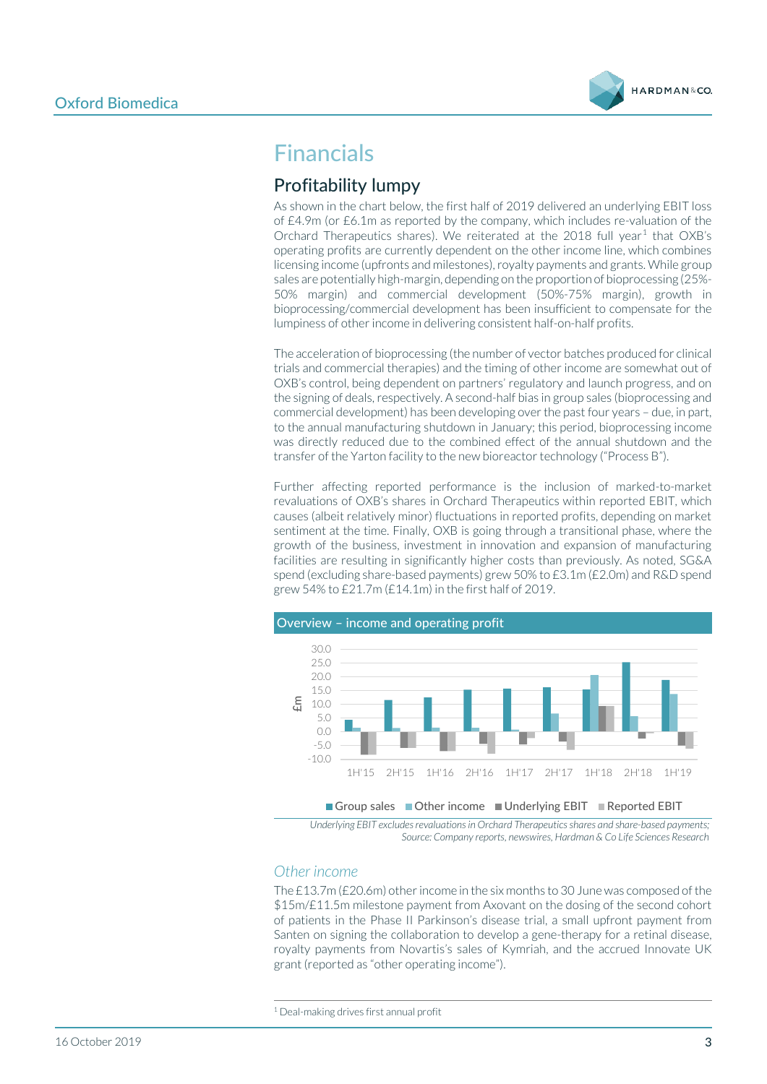

## Financials

### Profitability lumpy

As shown in the chart below, the first half of 2019 delivered an underlying EBIT loss of £4.9m (or £6.1m as reported by the company, which includes re-valuation of the Orchard Therapeutics shares). We reiterated at the 20[1](#page-2-0)8 full year<sup>1</sup> that OXB's operating profits are currently dependent on the other income line, which combines licensing income (upfronts and milestones), royalty payments and grants. While group sales are potentially high-margin, depending on the proportion of bioprocessing (25%- 50% margin) and commercial development (50%-75% margin), growth in bioprocessing/commercial development has been insufficient to compensate for the lumpiness of other income in delivering consistent half-on-half profits.

The acceleration of bioprocessing (the number of vector batches produced for clinical trials and commercial therapies) and the timing of other income are somewhat out of OXB's control, being dependent on partners' regulatory and launch progress, and on the signing of deals, respectively. A second-half bias in group sales (bioprocessing and commercial development) has been developing over the past four years – due, in part, to the annual manufacturing shutdown in January; this period, bioprocessing income was directly reduced due to the combined effect of the annual shutdown and the transfer of the Yarton facility to the new bioreactor technology ("Process B").

Further affecting reported performance is the inclusion of marked-to-market revaluations of OXB's shares in Orchard Therapeutics within reported EBIT, which causes (albeit relatively minor) fluctuations in reported profits, depending on market sentiment at the time. Finally, OXB is going through a transitional phase, where the growth of the business, investment in innovation and expansion of manufacturing facilities are resulting in significantly higher costs than previously. As noted, SG&A spend (excluding share-based payments) grew 50% to £3.1m (£2.0m) and R&D spend grew 54% to £21.7m (£14.1m) in the first half of 2019.



*Underlying EBIT excludes revaluations in Orchard Therapeuticsshares and share-based payments; Source: Company reports, newswires, Hardman & Co Life Sciences Research*

#### *Other income*

The £13.7m (£20.6m) other income in the six months to 30 June was composed of the \$15m/£11.5m milestone payment from Axovant on the dosing of the second cohort of patients in the Phase II Parkinson's disease trial, a small upfront payment from Santen on signing the collaboration to develop a gene-therapy for a retinal disease, royalty payments from Novartis's sales of Kymriah, and the accrued Innovate UK grant (reported as "other operating income").

<span id="page-2-0"></span><sup>1</sup> Deal-making drives first annual profit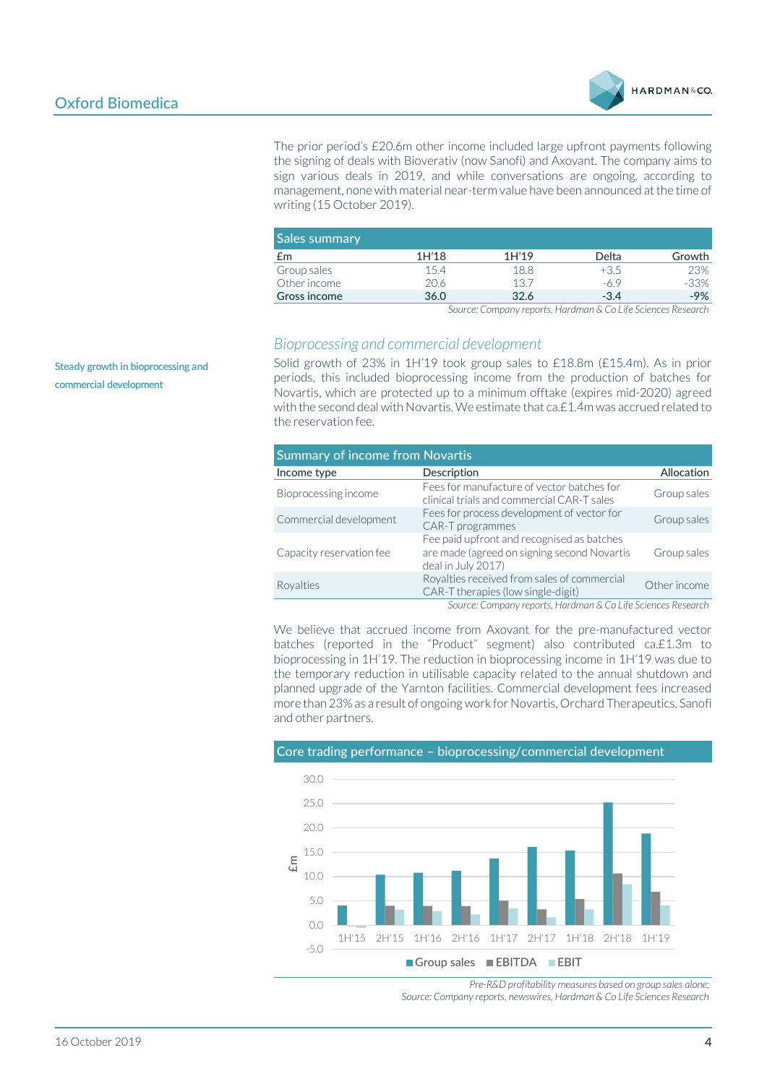

The prior period's £20.6m other income included large upfront payments following the signing of deals with Bioverativ (now Sanofi) and Axovant. The company aims to sign various deals in 2019, and while conversations are ongoing, according to management, none with material near-term value have been announced at the time of writing (15 October 2019).

| <b>Sales summary</b> |       |       |        |        |
|----------------------|-------|-------|--------|--------|
| £m                   | 1H'18 | 1H'19 | Delta  | Growth |
| Group sales          | 15.4  | 18.8  | $+3.5$ | 23%    |
| Other income         | 20.6  | 13.7  | -6.9   | $-33%$ |
| Gross income         | 36.0  | 32.6  | $-3.4$ | $-9%$  |

*Source: Company reports, Hardman & Co Life Sciences Research*

#### *Bioprocessing and commercial development*

Solid growth of 23% in 1H'19 took group sales to £18.8m (£15.4m). As in prior periods, this included bioprocessing income from the production of batches for Novartis, which are protected up to a minimum offtake (expires mid-2020) agreed with the second deal with Novartis. We estimate that ca.£1.4m was accrued related to the reservation fee.

| <b>Summary of income from Novartis</b> |                                                                                                                 |              |  |  |  |  |
|----------------------------------------|-----------------------------------------------------------------------------------------------------------------|--------------|--|--|--|--|
| Income type                            | Description                                                                                                     | Allocation   |  |  |  |  |
| Bioprocessing income                   | Fees for manufacture of vector batches for<br>clinical trials and commercial CAR-T sales                        | Group sales  |  |  |  |  |
| Commercial development                 | Fees for process development of vector for<br>CAR-T programmes                                                  | Group sales  |  |  |  |  |
| Capacity reservation fee               | Fee paid upfront and recognised as batches<br>are made (agreed on signing second Novartis<br>deal in July 2017) | Group sales  |  |  |  |  |
| Royalties                              | Royalties received from sales of commercial<br>CAR-T therapies (low single-digit)                               | Other income |  |  |  |  |
|                                        | Source: Company reports, Hardman & Co Life Sciences Research                                                    |              |  |  |  |  |

We believe that accrued income from Axovant for the pre-manufactured vector batches (reported in the "Product" segment) also contributed ca.£1.3m to bioprocessing in 1H'19. The reduction in bioprocessing income in 1H'19 was due to the temporary reduction in utilisable capacity related to the annual shutdown and planned upgrade of the Yarnton facilities. Commercial development fees increased more than 23% as a result of ongoing work for Novartis, Orchard Therapeutics, Sanofi and other partners.



*Pre-R&D profitability measures based on group sales alone; Source: Company reports, newswires, Hardman & Co Life Sciences Research*

**Steady growth in bioprocessing and commercial development**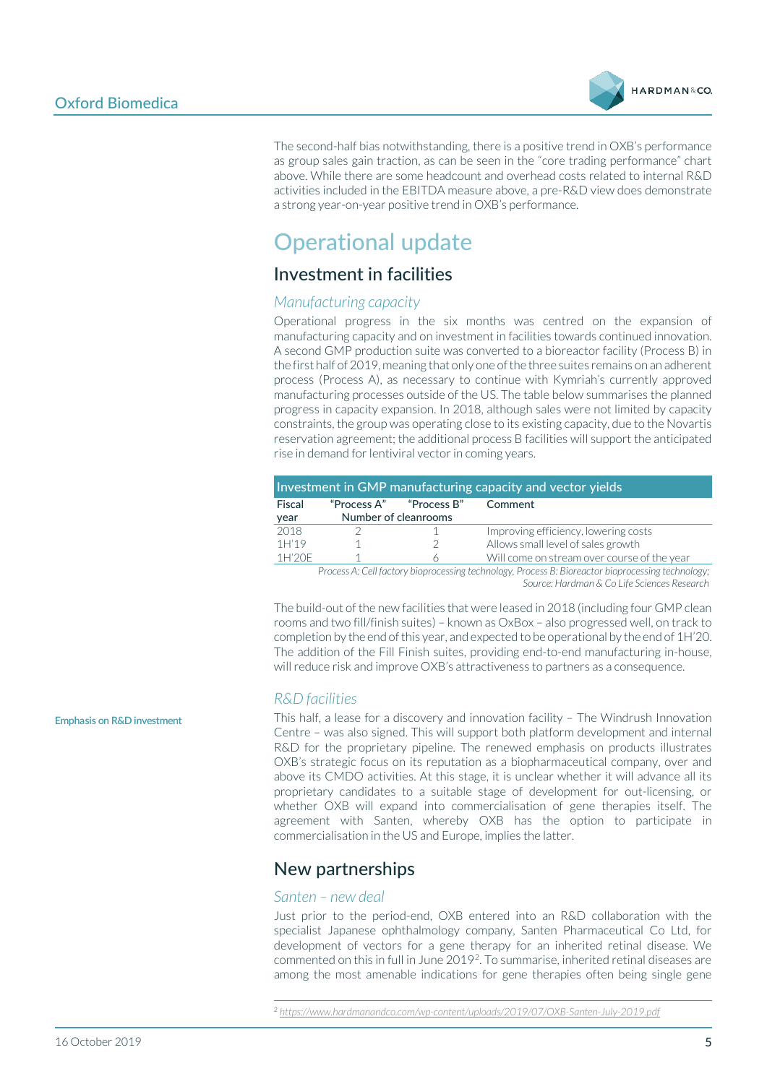

The second-half bias notwithstanding, there is a positive trend in OXB's performance as group sales gain traction, as can be seen in the "core trading performance" chart above. While there are some headcount and overhead costs related to internal R&D activities included in the EBITDA measure above, a pre-R&D view does demonstrate a strong year-on-year positive trend in OXB's performance.

## Operational update

### Investment in facilities

#### *Manufacturing capacity*

Operational progress in the six months was centred on the expansion of manufacturing capacity and on investment in facilities towards continued innovation. A second GMP production suite was converted to a bioreactor facility (Process B) in the first half of 2019, meaning that only one of the three suites remains on an adherent process (Process A), as necessary to continue with Kymriah's currently approved manufacturing processes outside of the US. The table below summarises the planned progress in capacity expansion. In 2018, although sales were not limited by capacity constraints, the group was operating close to its existing capacity, due to the Novartis reservation agreement; the additional process B facilities will support the anticipated rise in demand for lentiviral vector in coming years.

|        | Investment in GMP manufacturing capacity and vector yields |             |                                                                                                   |  |  |  |
|--------|------------------------------------------------------------|-------------|---------------------------------------------------------------------------------------------------|--|--|--|
| Fiscal | "Process A"                                                | "Process B" | Comment                                                                                           |  |  |  |
| year   | Number of cleanrooms                                       |             |                                                                                                   |  |  |  |
| 2018   |                                                            |             | Improving efficiency, lowering costs                                                              |  |  |  |
| 1H'19  |                                                            |             | Allows small level of sales growth                                                                |  |  |  |
| 1H'20F |                                                            |             | Will come on stream over course of the year                                                       |  |  |  |
|        |                                                            |             | Brocess A: Cell factory hipprocessing technology, Brocess R: Rioreactor hipprocessing technology: |  |  |  |

*Process A: Cell factory bioprocessing technology, Process B: Bioreactor bioprocessing technology; Source: Hardman & Co Life Sciences Research*

The build-out of the new facilities that were leased in 2018 (including four GMP clean rooms and two fill/finish suites) – known as OxBox – also progressed well, on track to completion by the end of this year, and expected to be operational by the end of 1H'20. The addition of the Fill Finish suites, providing end-to-end manufacturing in-house, will reduce risk and improve OXB's attractiveness to partners as a consequence.

#### *R&D facilities*

This half, a lease for a discovery and innovation facility – The Windrush Innovation Centre – was also signed. This will support both platform development and internal R&D for the proprietary pipeline. The renewed emphasis on products illustrates OXB's strategic focus on its reputation as a biopharmaceutical company, over and above its CMDO activities. At this stage, it is unclear whether it will advance all its proprietary candidates to a suitable stage of development for out-licensing, or whether OXB will expand into commercialisation of gene therapies itself. The agreement with Santen, whereby OXB has the option to participate in commercialisation in the US and Europe, implies the latter.

### New partnerships

#### *Santen – new deal*

Just prior to the period-end, OXB entered into an R&D collaboration with the specialist Japanese ophthalmology company, Santen Pharmaceutical Co Ltd, for development of vectors for a gene therapy for an inherited retinal disease. We commented on this in full in June 2019[2](#page-4-0). To summarise, inherited retinal diseases are among the most amenable indications for gene therapies often being single gene

**Emphasis on R&D investment**

<span id="page-4-0"></span><sup>2</sup> *<https://www.hardmanandco.com/wp-content/uploads/2019/07/OXB-Santen-July-2019.pdf>*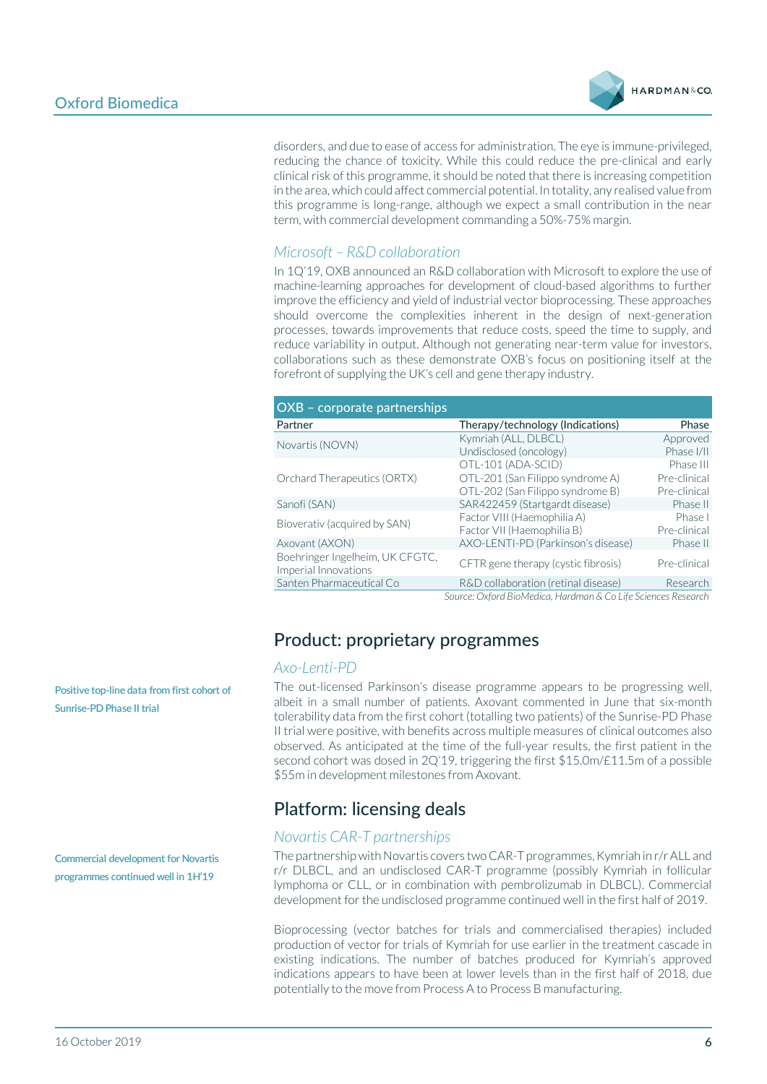

disorders, and due to ease of access for administration. The eye is immune-privileged, reducing the chance of toxicity. While this could reduce the pre-clinical and early clinical risk of this programme, it should be noted that there is increasing competition in the area, which could affect commercial potential. In totality, any realised value from this programme is long-range, although we expect a small contribution in the near term, with commercial development commanding a 50%-75% margin.

### *Microsoft – R&D collaboration*

In 1Q'19, OXB announced an R&D collaboration with Microsoft to explore the use of machine-learning approaches for development of cloud-based algorithms to further improve the efficiency and yield of industrial vector bioprocessing. These approaches should overcome the complexities inherent in the design of next-generation processes, towards improvements that reduce costs, speed the time to supply, and reduce variability in output. Although not generating near-term value for investors, collaborations such as these demonstrate OXB's focus on positioning itself at the forefront of supplying the UK's cell and gene therapy industry.

| OXB - corporate partnerships                            |                                                                                            |                                           |
|---------------------------------------------------------|--------------------------------------------------------------------------------------------|-------------------------------------------|
| Partner                                                 | Therapy/technology (Indications)                                                           | Phase                                     |
| Novartis (NOVN)                                         | Kymriah (ALL, DLBCL)<br>Undisclosed (oncology)                                             | Approved<br>Phase I/II                    |
| Orchard Therapeutics (ORTX)                             | OTL-101 (ADA-SCID)<br>OTL-201 (San Filippo syndrome A)<br>OTL-202 (San Filippo syndrome B) | Phase III<br>Pre-clinical<br>Pre-clinical |
| Sanofi (SAN)                                            | SAR422459 (Startgardt disease)                                                             | Phase II                                  |
| Bioverativ (acquired by SAN)                            | Factor VIII (Haemophilia A)<br>Factor VII (Haemophilia B)                                  | Phase I<br>Pre-clinical                   |
| Axovant (AXON)                                          | AXO-LENTI-PD (Parkinson's disease)                                                         | Phase II                                  |
| Boehringer Ingelheim, UK CFGTC,<br>Imperial Innovations | CFTR gene therapy (cystic fibrosis)                                                        | Pre-clinical                              |
| Santen Pharmaceutical Co                                | R&D collaboration (retinal disease)                                                        | Research                                  |
|                                                         | Source: Oxford RioMedica, Hardman & Co Life Sciences Research                              |                                           |

*Source: Oxford BioMedica, Hardman & Co Life Sciences Research*

### Product: proprietary programmes

#### *Axo-Lenti-PD*

The out-licensed Parkinson's disease programme appears to be progressing well, albeit in a small number of patients. Axovant commented in June that six-month tolerability data from the first cohort (totalling two patients) of the Sunrise-PD Phase II trial were positive, with benefits across multiple measures of clinical outcomes also observed. As anticipated at the time of the full-year results, the first patient in the second cohort was dosed in 2Q'19, triggering the first \$15.0m/£11.5m of a possible \$55m in development milestones from Axovant.

### Platform: licensing deals

#### *Novartis CAR-T partnerships*

The partnership with Novartis covers two CAR-T programmes, Kymriah in r/r ALL and r/r DLBCL, and an undisclosed CAR-T programme (possibly Kymriah in follicular lymphoma or CLL, or in combination with pembrolizumab in DLBCL). Commercial development for the undisclosed programme continued well in the first half of 2019.

Bioprocessing (vector batches for trials and commercialised therapies) included production of vector for trials of Kymriah for use earlier in the treatment cascade in existing indications. The number of batches produced for Kymriah's approved indications appears to have been at lower levels than in the first half of 2018, due potentially to the move from Process A to Process B manufacturing.

**Positive top-line data from first cohort of Sunrise-PD Phase II trial**

**Commercial development for Novartis programmes continued well in 1H'19**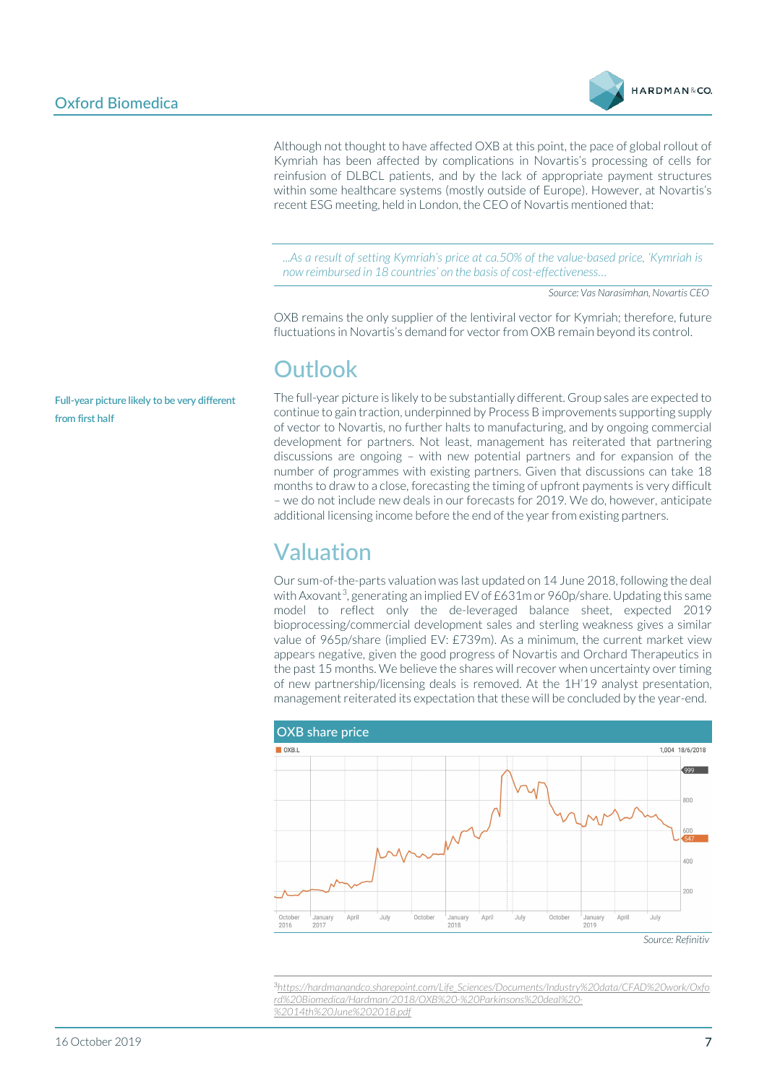

Although not thought to have affected OXB at this point, the pace of global rollout of Kymriah has been affected by complications in Novartis's processing of cells for reinfusion of DLBCL patients, and by the lack of appropriate payment structures within some healthcare systems (mostly outside of Europe). However, at Novartis's recent ESG meeting, held in London, the CEO of Novartis mentioned that:

*...As a result of setting Kymriah's price at ca.50% of the value-based price, 'Kymriah is now reimbursed in 18 countries' on the basis of cost-effectiveness…*

*Source: Vas Narasimhan, Novartis CEO*

OXB remains the only supplier of the lentiviral vector for Kymriah; therefore, future fluctuations in Novartis's demand for vector from OXB remain beyond its control.

## **Outlook**

The full-year picture is likely to be substantially different. Group sales are expected to continue to gain traction, underpinned by Process B improvements supporting supply of vector to Novartis, no further halts to manufacturing, and by ongoing commercial development for partners. Not least, management has reiterated that partnering discussions are ongoing – with new potential partners and for expansion of the number of programmes with existing partners. Given that discussions can take 18 months to draw to a close, forecasting the timing of upfront payments is very difficult – we do not include new deals in our forecasts for 2019. We do, however, anticipate additional licensing income before the end of the year from existing partners.

## Valuation

Our sum-of-the-parts valuation was last updated on 14 June 2018, following the deal with Axovant<sup>[3](#page-6-0)</sup>, generating an implied EV of  $E631$ m or 960p/share. Updating this same model to reflect only the de-leveraged balance sheet, expected 2019 bioprocessing/commercial development sales and sterling weakness gives a similar value of 965p/share (implied EV: £739m). As a minimum, the current market view appears negative, given the good progress of Novartis and Orchard Therapeutics in the past 15 months. We believe the shares will recover when uncertainty over timing of new partnership/licensing deals is removed. At the 1H'19 analyst presentation, management reiterated its expectation that these will be concluded by the year-end.



*Source: Refinitiv*

<span id="page-6-0"></span>3 *[https://hardmanandco.sharepoint.com/Life\\_Sciences/Documents/Industry%20data/CFAD%20work/Oxfo](https://hardmanandco.sharepoint.com/Life_Sciences/Documents/Industry%20data/CFAD%20work/Oxford%20Biomedica/Hardman/2018/OXB%20-%20Parkinsons%20deal%20-%2014th%20June%202018.pdf) [rd%20Biomedica/Hardman/2018/OXB%20-%20Parkinsons%20deal%20-](https://hardmanandco.sharepoint.com/Life_Sciences/Documents/Industry%20data/CFAD%20work/Oxford%20Biomedica/Hardman/2018/OXB%20-%20Parkinsons%20deal%20-%2014th%20June%202018.pdf) [%2014th%20June%202018.pdf](https://hardmanandco.sharepoint.com/Life_Sciences/Documents/Industry%20data/CFAD%20work/Oxford%20Biomedica/Hardman/2018/OXB%20-%20Parkinsons%20deal%20-%2014th%20June%202018.pdf)*

**Full-year picture likely to be very different from first half**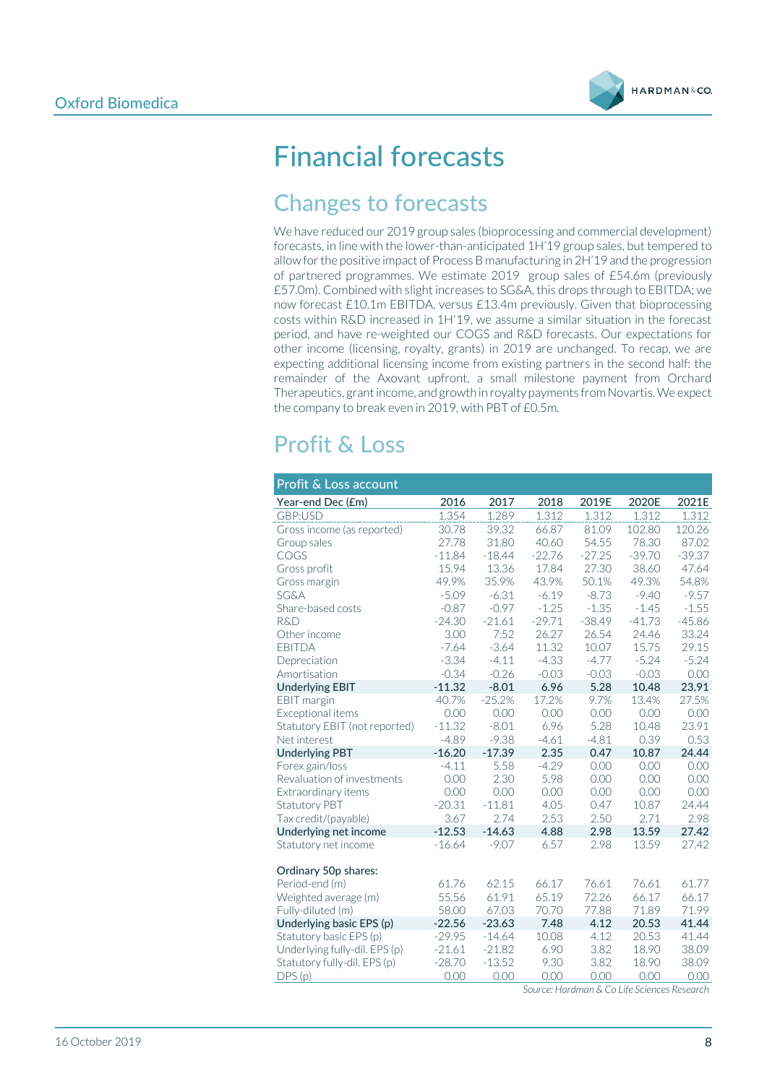

# Financial forecasts

## Changes to forecasts

We have reduced our 2019 group sales (bioprocessing and commercial development) forecasts, in line with the lower-than-anticipated 1H'19 group sales, but tempered to allow for the positive impact of Process B manufacturing in 2H'19 and the progression of partnered programmes. We estimate 2019 group sales of £54.6m (previously £57.0m). Combined with slight increases to SG&A, this drops through to EBITDA; we now forecast £10.1m EBITDA, versus £13.4m previously. Given that bioprocessing costs within R&D increased in 1H'19, we assume a similar situation in the forecast period, and have re-weighted our COGS and R&D forecasts. Our expectations for other income (licensing, royalty, grants) in 2019 are unchanged. To recap, we are expecting additional licensing income from existing partners in the second half: the remainder of the Axovant upfront, a small milestone payment from Orchard Therapeutics, grant income, and growth in royalty payments from Novartis. We expect the company to break even in 2019, with PBT of £0.5m.

## Profit & Loss

| Profit & Loss account         |          |          |          |          |          |          |
|-------------------------------|----------|----------|----------|----------|----------|----------|
| Year-end Dec (£m)             | 2016     | 2017     | 2018     | 2019E    | 2020E    | 2021E    |
| GBP:USD                       | 1.354    | 1.289    | 1.312    | 1.312    | 1.312    | 1.312    |
| Gross income (as reported)    | 30.78    | 39.32    | 66.87    | 81.09    | 102.80   | 120.26   |
| Group sales                   | 27.78    | 31.80    | 40.60    | 54.55    | 78.30    | 87.02    |
| COGS                          | $-11.84$ | $-18.44$ | $-22.76$ | $-27.25$ | $-39.70$ | $-39.37$ |
| Gross profit                  | 15.94    | 13.36    | 17.84    | 27.30    | 38.60    | 47.64    |
| Gross margin                  | 49.9%    | 35.9%    | 43.9%    | 50.1%    | 49.3%    | 54.8%    |
| <b>SG&amp;A</b>               | $-5.09$  | $-6.31$  | $-6.19$  | $-8.73$  | $-9.40$  | $-9.57$  |
| Share-based costs             | $-0.87$  | $-0.97$  | $-1.25$  | $-1.35$  | $-1.45$  | $-1.55$  |
| <b>R&amp;D</b>                | $-24.30$ | $-21.61$ | $-29.71$ | $-38.49$ | $-41.73$ | $-45.86$ |
| Other income                  | 3.00     | 7.52     | 26.27    | 26.54    | 24.46    | 33.24    |
| <b>EBITDA</b>                 | $-7.64$  | $-3.64$  | 11.32    | 10.07    | 15.75    | 29.15    |
| Depreciation                  | $-3.34$  | $-4.11$  | $-4.33$  | $-4.77$  | $-5.24$  | $-5.24$  |
| Amortisation                  | $-0.34$  | $-0.26$  | $-0.03$  | $-0.03$  | $-0.03$  | 0.00     |
| <b>Underlying EBIT</b>        | $-11.32$ | $-8.01$  | 6.96     | 5.28     | 10.48    | 23.91    |
| EBIT margin                   | 40.7%    | $-25.2%$ | 17.2%    | 9.7%     | 13.4%    | 27.5%    |
| Exceptional items             | 0.00     | 0.00     | 0.00     | 0.00     | 0.00     | 0.00     |
| Statutory EBIT (not reported) | $-11.32$ | $-8.01$  | 6.96     | 5.28     | 10.48    | 23.91    |
| Net interest                  | $-4.89$  | $-9.38$  | $-4.61$  | $-4.81$  | 0.39     | 0.53     |
| <b>Underlying PBT</b>         | $-16.20$ | $-17.39$ | 2.35     | 0.47     | 10.87    | 24.44    |
| Forex gain/loss               | $-4.11$  | 5.58     | $-4.29$  | 0.00     | 0.00     | 0.00     |
| Revaluation of investments    | 0.00     | 2.30     | 5.98     | 0.00     | 0.00     | 0.00     |
| Extraordinary items           | 0.00     | 0.00     | 0.00     | 0.00     | 0.00     | 0.00     |
| Statutory PBT                 | $-20.31$ | $-11.81$ | 4.05     | 0.47     | 10.87    | 24.44    |
| Tax credit/(payable)          | 3.67     | 2.74     | 2.53     | 2.50     | 2.71     | 2.98     |
| Underlying net income         | $-12.53$ | $-14.63$ | 4.88     | 2.98     | 13.59    | 27.42    |
| Statutory net income          | $-16.64$ | $-9.07$  | 6.57     | 2.98     | 13.59    | 27.42    |
| Ordinary 50p shares:          |          |          |          |          |          |          |
| Period-end (m)                | 61.76    | 62.15    | 66.17    | 76.61    | 76.61    | 61.77    |
| Weighted average (m)          | 55.56    | 61.91    | 65.19    | 72.26    | 66.17    | 66.17    |
| Fully-diluted (m)             | 58.00    | 67.03    | 70.70    | 77.88    | 71.89    | 71.99    |
| Underlying basic EPS (p)      | $-22.56$ | $-23.63$ | 7.48     | 4.12     | 20.53    | 41.44    |
| Statutory basic EPS (p)       | $-29.95$ | $-14.64$ | 10.08    | 4.12     | 20.53    | 41.44    |
| Underlying fully-dil. EPS (p) | $-21.61$ | $-21.82$ | 6.90     | 3.82     | 18.90    | 38.09    |
| Statutory fully-dil. EPS (p)  | $-28.70$ | $-13.52$ | 9.30     | 3.82     | 18.90    | 38.09    |
| DPS(p)                        | 0.00     | 0.00     | 0.00     | 0.00     | 0.00     | 0.00     |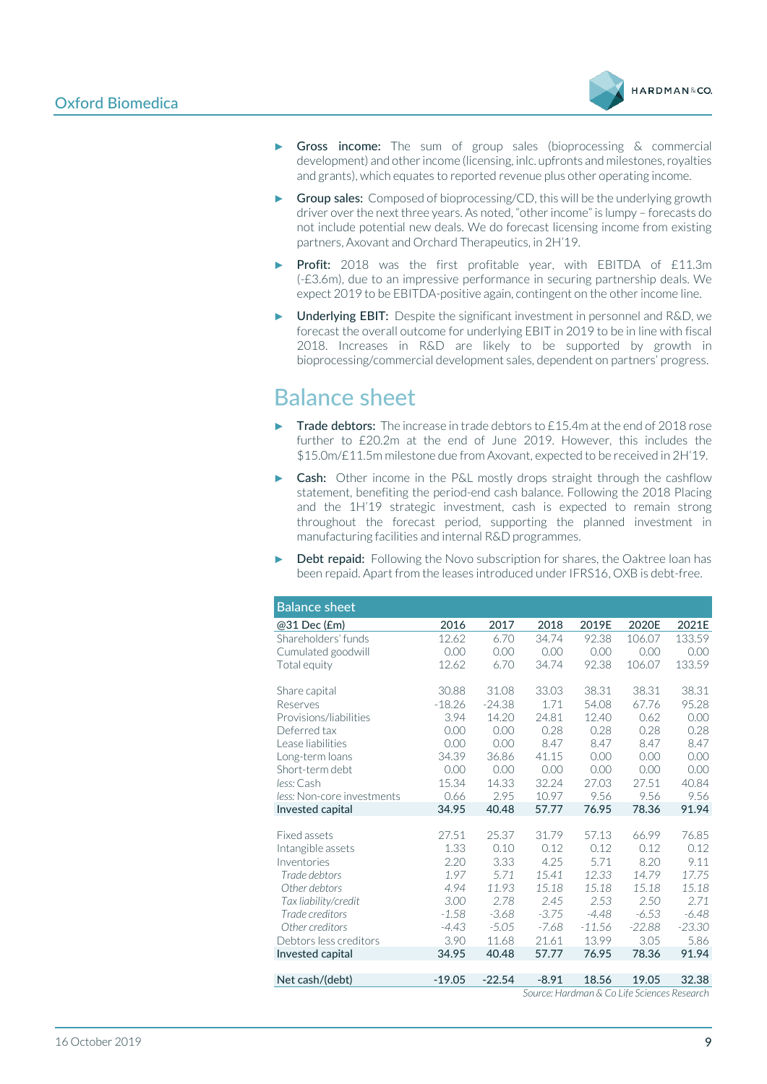

- Gross income: The sum of group sales (bioprocessing & commercial development) and other income (licensing, inlc. upfronts and milestones, royalties and grants), which equates to reported revenue plus other operating income.
- Group sales: Composed of bioprocessing/CD, this will be the underlying growth driver over the next three years. As noted, "other income" is lumpy – forecasts do not include potential new deals. We do forecast licensing income from existing partners, Axovant and Orchard Therapeutics, in 2H'19.
- Profit: 2018 was the first profitable year, with EBITDA of £11.3m (-£3.6m), due to an impressive performance in securing partnership deals. We expect 2019 to be EBITDA-positive again, contingent on the other income line.
- Underlying EBIT: Despite the significant investment in personnel and R&D, we forecast the overall outcome for underlying EBIT in 2019 to be in line with fiscal 2018. Increases in R&D are likely to be supported by growth in bioprocessing/commercial development sales, dependent on partners' progress.

## Balance sheet

- Trade debtors: The increase in trade debtors to £15.4m at the end of 2018 rose further to £20.2m at the end of June 2019. However, this includes the \$15.0m/£11.5m milestone due from Axovant, expected to be received in 2H'19.
- Cash: Other income in the P&L mostly drops straight through the cashflow statement, benefiting the period-end cash balance. Following the 2018 Placing and the 1H'19 strategic investment, cash is expected to remain strong throughout the forecast period, supporting the planned investment in manufacturing facilities and internal R&D programmes.
- **Debt repaid:** Following the Novo subscription for shares, the Oaktree loan has been repaid. Apart from the leases introduced under IFRS16, OXB is debt-free.

| <b>Balance sheet</b>       |          |          |                                                                                                                         |          |          |                  |
|----------------------------|----------|----------|-------------------------------------------------------------------------------------------------------------------------|----------|----------|------------------|
| @31 Dec (£m)               | 2016     | 2017     | 2018                                                                                                                    | 2019E    | 2020E    | 2021E            |
| Shareholders' funds        | 12.62    | 6.70     | 34.74                                                                                                                   | 92.38    | 106.07   | 133.59           |
| Cumulated goodwill         | 0.00     | 0.00     | 0.00                                                                                                                    | 0.00     | 0.00     | 0.00             |
| Total equity               | 12.62    | 6.70     | 34.74                                                                                                                   | 92.38    | 106.07   | 133.59           |
| Share capital              | 30.88    | 31.08    | 33.03                                                                                                                   | 38.31    | 38.31    | 38.31            |
| Reserves                   | $-18.26$ | $-24.38$ | 1.71                                                                                                                    | 54.08    | 67.76    | 95.28            |
| Provisions/liabilities     | 3.94     | 14.20    | 24.81                                                                                                                   | 12.40    | 0.62     | 0.00             |
| Deferred tax               | 0.00     | 0.00     | 0.28                                                                                                                    | 0.28     | 0.28     | 0.28             |
| Lease liabilities          | 0.00     | 0.00     | 8.47                                                                                                                    | 8.47     | 8.47     | 8.47             |
| Long-term loans            | 34.39    | 36.86    | 41.15                                                                                                                   | 0.00     | 0.00     | 0.00             |
| Short-term debt            | 0.00     | 0.00     | 0.00                                                                                                                    | 0.00     | 0.00     | 0.00             |
| less: Cash                 | 15.34    | 14.33    | 32.24                                                                                                                   | 27.03    | 27.51    | 40.84            |
| less: Non-core investments | 0.66     | 2.95     | 10.97                                                                                                                   | 9.56     | 9.56     | 9.56             |
| Invested capital           | 34.95    | 40.48    | 57.77                                                                                                                   | 76.95    | 78.36    | 91.94            |
|                            |          |          |                                                                                                                         |          |          |                  |
| <b>Fixed assets</b>        | 27.51    | 25.37    | 31.79                                                                                                                   | 57.13    | 66.99    | 76.85            |
| Intangible assets          | 1.33     | 0.10     | 0.12                                                                                                                    | 0.12     | 0.12     | 0.12             |
| Inventories                | 2.20     | 3.33     | 4.25                                                                                                                    | 5.71     | 8.20     | 9.11             |
| Trade debtors              | 1.97     | 5.71     | 15.41                                                                                                                   | 12.33    | 14.79    | 17.75            |
| Other debtors              | 4.94     | 11.93    | 15.18                                                                                                                   | 15.18    | 15.18    | 15.18            |
| Tax liability/credit       | 3.00     | 2.78     | 2.45                                                                                                                    | 2.53     | 2.50     | 2.71             |
| Trade creditors            | $-1.58$  | $-3.68$  | $-3.75$                                                                                                                 | $-4.48$  | $-6.53$  | $-6.48$          |
| Other creditors            | $-4.43$  | $-5.05$  | $-7.68$                                                                                                                 | $-11.56$ | $-22.88$ | $-23.30$         |
| Debtors less creditors     | 3.90     | 11.68    | 21.61                                                                                                                   | 13.99    | 3.05     | 5.86             |
| Invested capital           | 34.95    | 40.48    | 57.77                                                                                                                   | 76.95    | 78.36    | 91.94            |
|                            |          |          |                                                                                                                         |          |          |                  |
| Net cash/(debt)            | $-19.05$ | $-22.54$ | $-8.91$<br>$C_1$ and $C_2$ is the set of $C_1$ is the $C_2$ is the set of $C_1$ is the set of $C_2$ is the set of $C_1$ | 18.56    | 19.05    | 32.38<br>$    -$ |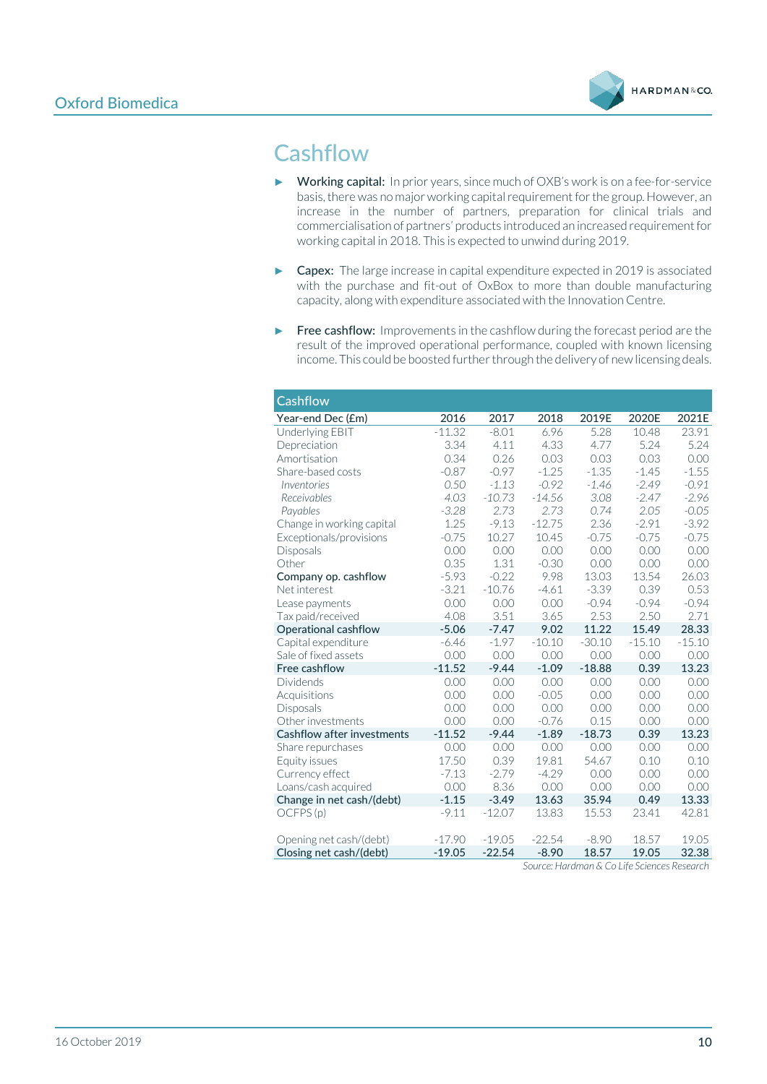

## **Cashflow**

- ► Working capital: In prior years, since much of OXB's work is on a fee-for-service basis, there was no major working capital requirement for the group. However, an increase in the number of partners, preparation for clinical trials and commercialisation of partners' products introduced an increased requirement for working capital in 2018. This is expected to unwind during 2019.
- ► Capex: The large increase in capital expenditure expected in 2019 is associated with the purchase and fit-out of OxBox to more than double manufacturing capacity, along with expenditure associated with the Innovation Centre.
- ► Free cashflow: Improvements in the cashflow during the forecast period are the result of the improved operational performance, coupled with known licensing income. This could be boosted further through the delivery of new licensing deals.

| <b>Cashflow</b>            |          |          |          |          |          |          |
|----------------------------|----------|----------|----------|----------|----------|----------|
| Year-end Dec (£m)          | 2016     | 2017     | 2018     | 2019E    | 2020E    | 2021E    |
| Underlying EBIT            | $-11.32$ | $-8.01$  | 6.96     | 5.28     | 10.48    | 23.91    |
| Depreciation               | 3.34     | 4.11     | 4.33     | 4.77     | 5.24     | 5.24     |
| Amortisation               | 0.34     | 0.26     | 0.03     | 0.03     | 0.03     | 0.00     |
| Share-based costs          | $-0.87$  | $-0.97$  | $-1.25$  | $-1.35$  | $-1.45$  | $-1.55$  |
| Inventories                | 0.50     | $-1.13$  | $-0.92$  | $-1.46$  | $-2.49$  | $-0.91$  |
| Receivables                | 4.03     | $-10.73$ | $-14.56$ | 3.08     | $-2.47$  | $-2.96$  |
| Payables                   | $-3.28$  | 2.73     | 2.73     | 0.74     | 2.05     | $-0.05$  |
| Change in working capital  | 1.25     | $-9.13$  | $-12.75$ | 2.36     | $-2.91$  | $-3.92$  |
| Exceptionals/provisions    | $-0.75$  | 10.27    | 10.45    | $-0.75$  | $-0.75$  | $-0.75$  |
| Disposals                  | 0.00     | 0.00     | 0.00     | 0.00     | 0.00     | 0.00     |
| Other                      | 0.35     | 1.31     | $-0.30$  | 0.00     | 0.00     | 0.00     |
| Company op. cashflow       | $-5.93$  | $-0.22$  | 9.98     | 13.03    | 13.54    | 26.03    |
| Net interest               | $-3.21$  | $-10.76$ | $-4.61$  | $-3.39$  | 0.39     | 0.53     |
| Lease payments             | 0.00     | 0.00     | 0.00     | $-0.94$  | $-0.94$  | $-0.94$  |
| Tax paid/received          | 4.08     | 3.51     | 3.65     | 2.53     | 2.50     | 2.71     |
| Operational cashflow       | $-5.06$  | $-7.47$  | 9.02     | 11.22    | 15.49    | 28.33    |
| Capital expenditure        | $-6.46$  | $-1.97$  | $-10.10$ | $-30.10$ | $-15.10$ | $-15.10$ |
| Sale of fixed assets       | 0.00     | 0.00     | 0.00     | 0.00     | 0.00     | 0.00     |
| Free cashflow              | $-11.52$ | $-9.44$  | $-1.09$  | $-18.88$ | 0.39     | 13.23    |
| <b>Dividends</b>           | 0.00     | 0.00     | 0.00     | 0.00     | 0.00     | 0.00     |
| Acquisitions               | 0.00     | 0.00     | $-0.05$  | 0.00     | 0.00     | 0.00     |
| <b>Disposals</b>           | 0.00     | 0.00     | 0.00     | 0.00     | 0.00     | 0.00     |
| Other investments          | 0.00     | 0.00     | $-0.76$  | 0.15     | 0.00     | 0.00     |
| Cashflow after investments | $-11.52$ | $-9.44$  | $-1.89$  | $-18.73$ | 0.39     | 13.23    |
| Share repurchases          | 0.00     | 0.00     | 0.00     | 0.00     | 0.00     | 0.00     |
| Equity issues              | 17.50    | 0.39     | 19.81    | 54.67    | 0.10     | 0.10     |
| Currency effect            | $-7.13$  | $-2.79$  | $-4.29$  | 0.00     | 0.00     | 0.00     |
| Loans/cash acquired        | 0.00     | 8.36     | 0.00     | 0.00     | 0.00     | 0.00     |
| Change in net cash/(debt)  | $-1.15$  | $-3.49$  | 13.63    | 35.94    | 0.49     | 13.33    |
| OCFPS(p)                   | $-9.11$  | $-12.07$ | 13.83    | 15.53    | 23.41    | 42.81    |
| Opening net cash/(debt)    | $-17.90$ | $-19.05$ | $-22.54$ | $-8.90$  | 18.57    | 19.05    |
| Closing net cash/(debt)    | $-19.05$ | $-22.54$ | $-8.90$  | 18.57    | 19.05    | 32.38    |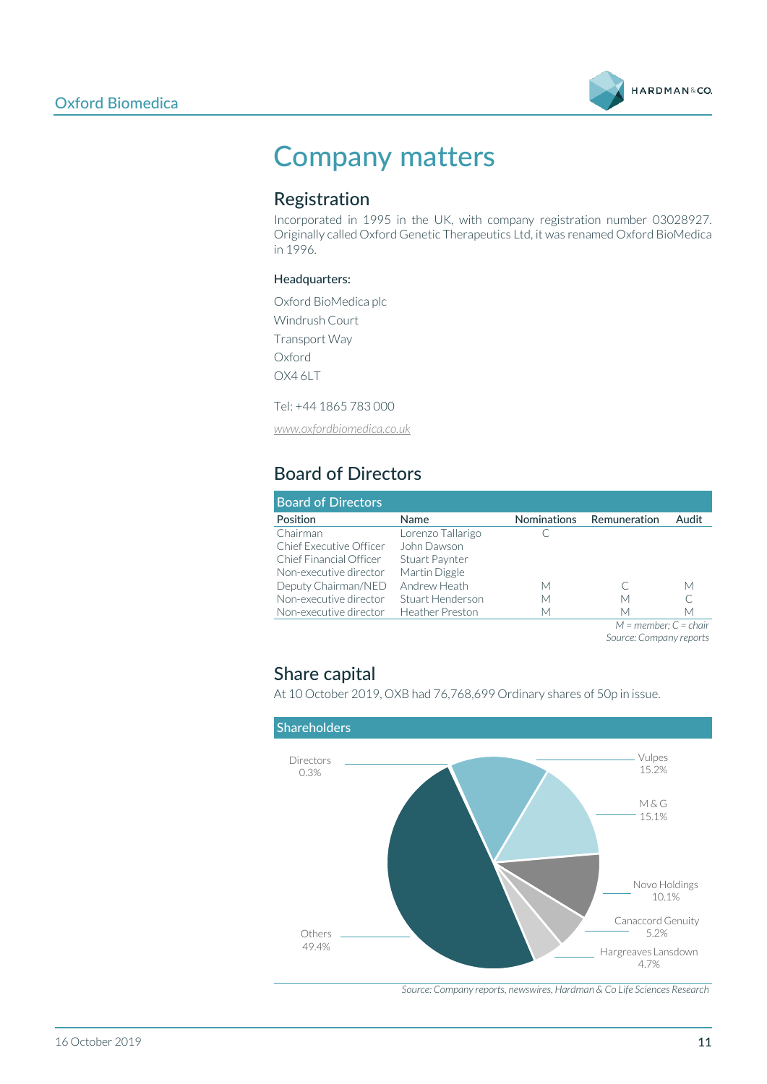

# Company matters

### Registration

Incorporated in 1995 in the UK, with company registration number 03028927. Originally called Oxford Genetic Therapeutics Ltd, it was renamed Oxford BioMedica in 1996.

#### Headquarters:

Oxford BioMedica plc Windrush Court Transport Way Oxford OX4 6LT

Tel: +44 1865 783 000

*[www.oxfordbiomedica.co.uk](http://www.oxfordbiomedica.co.uk/)*

## Board of Directors

| <b>Board of Directors</b> |                        |                    |                           |       |
|---------------------------|------------------------|--------------------|---------------------------|-------|
| Position                  | Name                   | <b>Nominations</b> | Remuneration              | Audit |
| Chairman                  | Lorenzo Tallarigo      |                    |                           |       |
| Chief Executive Officer   | John Dawson            |                    |                           |       |
| Chief Financial Officer   | Stuart Paynter         |                    |                           |       |
| Non-executive director    | Martin Diggle          |                    |                           |       |
| Deputy Chairman/NED       | Andrew Heath           | М                  |                           | М     |
| Non-executive director    | Stuart Henderson       | М                  | М                         |       |
| Non-executive director    | <b>Heather Preston</b> | М                  | М                         | М     |
|                           |                        |                    | $M =$ member: $C =$ chair |       |

*Source: Company reports*

### Share capital

At 10 October 2019, OXB had 76,768,699 Ordinary shares of 50p in issue.



*Source: Company reports, newswires, Hardman & Co Life Sciences Research*